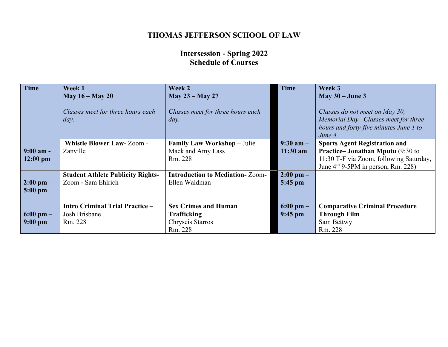# **THOMAS JEFFERSON SCHOOL OF LAW**

## **Intersession - Spring 2022 Schedule of Courses**

| <b>Time</b>                       | Week 1<br>May $16 -$ May 20                                        | Week 2<br>May 23 – May 27                                                        | <b>Time</b>                      | Week 3<br>May $30 -$ June 3                                                                                                                                        |
|-----------------------------------|--------------------------------------------------------------------|----------------------------------------------------------------------------------|----------------------------------|--------------------------------------------------------------------------------------------------------------------------------------------------------------------|
|                                   | Classes meet for three hours each<br>day.                          | Classes meet for three hours each<br>day.                                        |                                  | Classes do not meet on May 30,<br>Memorial Day. Classes meet for three<br>hours and forty-five minutes June 1 to<br>June 4.                                        |
| $9:00$ am -<br>$12:00 \text{ pm}$ | <b>Whistle Blower Law-Zoom-</b><br>Zanville                        | <b>Family Law Workshop</b> – Julie<br>Mack and Amy Lass<br>Rm. 228               | $9:30$ am $-$<br>$11:30$ am      | <b>Sports Agent Registration and</b><br><b>Practice–Jonathan Mputu</b> (9:30 to<br>11:30 T-F via Zoom, following Saturday,<br>June $4th$ 9-5PM in person, Rm. 228) |
| $2:00 \text{ pm} -$<br>$5:00$ pm  | <b>Student Athlete Publicity Rights-</b><br>Zoom - Sam Ehlrich     | <b>Introduction to Mediation-Zoom-</b><br>Ellen Waldman                          | $2:00 \text{ pm} -$<br>$5:45$ pm |                                                                                                                                                                    |
| $6:00 \text{ pm} -$<br>$9:00$ pm  | <b>Intro Criminal Trial Practice -</b><br>Josh Brisbane<br>Rm. 228 | <b>Sex Crimes and Human</b><br><b>Trafficking</b><br>Chryseis Starros<br>Rm. 228 | $6:00 \text{ pm} -$<br>$9:45$ pm | <b>Comparative Criminal Procedure</b><br><b>Through Film</b><br>Sam Bettwy<br>Rm. 228                                                                              |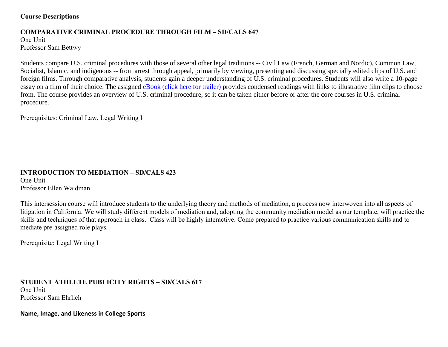### **Course Descriptions**

## **COMPARATIVE CRIMINAL PROCEDURE THROUGH FILM – SD/CALS 647**

One Unit Professor Sam Bettwy

Students compare U.S. criminal procedures with those of several other legal traditions -- Civil Law (French, German and Nordic), Common Law, Socialist, Islamic, and indigenous -- from arrest through appeal, primarily by viewing, presenting and discussing specially edited clips of U.S. and foreign films. Through comparative analysis, students gain a deeper understanding of U.S. criminal procedures. Students will also write a 10-page essay on a film of their choice. The assigned [eBook \(click here for trailer\)](https://vimeo.com/367958422) provides condensed readings with links to illustrative film clips to choose from. The course provides an overview of U.S. criminal procedure, so it can be taken either before or after the core courses in U.S. criminal procedure.

Prerequisites: Criminal Law, Legal Writing I

# **INTRODUCTION TO MEDIATION – SD/CALS 423**

One Unit Professor Ellen Waldman

This intersession course will introduce students to the underlying theory and methods of mediation, a process now interwoven into all aspects of litigation in California. We will study different models of mediation and, adopting the community mediation model as our template, will practice the skills and techniques of that approach in class. Class will be highly interactive. Come prepared to practice various communication skills and to mediate pre-assigned role plays.

Prerequisite: Legal Writing I

**STUDENT ATHLETE PUBLICITY RIGHTS – SD/CALS 617** One Unit Professor Sam Ehrlich

**Name, Image, and Likeness in College Sports**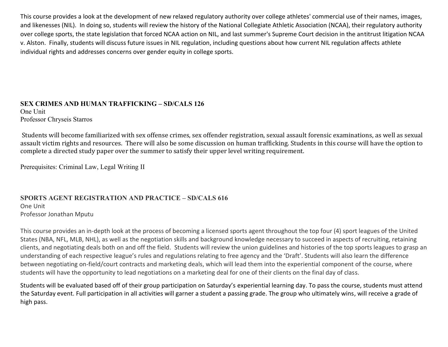This course provides a look at the development of new relaxed regulatory authority over college athletes' commercial use of their names, images, and likenesses (NIL). In doing so, students will review the history of the National Collegiate Athletic Association (NCAA), their regulatory authority over college sports, the state legislation that forced NCAA action on NIL, and last summer's Supreme Court decision in the antitrust litigation NCAA v. Alston. Finally, students will discuss future issues in NIL regulation, including questions about how current NIL regulation affects athlete individual rights and addresses concerns over gender equity in college sports.

**SEX CRIMES AND HUMAN TRAFFICKING – SD/CALS 126** One Unit Professor Chryseis Starros

Students will become familiarized with sex offense crimes, sex offender registration, sexual assault forensic examinations, as well as sexual assault victim rights and resources. There will also be some discussion on human trafficking. Students in this course will have the option to complete a directed study paper over the summer to satisfy their upper level writing requirement.

Prerequisites: Criminal Law, Legal Writing II

#### **SPORTS AGENT REGISTRATION AND PRACTICE – SD/CALS 616** One Unit

Professor Jonathan Mputu

This course provides an in-depth look at the process of becoming a licensed sports agent throughout the top four (4) sport leagues of the United States (NBA, NFL, MLB, NHL), as well as the negotiation skills and background knowledge necessary to succeed in aspects of recruiting, retaining clients, and negotiating deals both on and off the field. Students will review the union guidelines and histories of the top sports leagues to grasp an understanding of each respective league's rules and regulations relating to free agency and the 'Draft'. Students will also learn the difference between negotiating on-field/court contracts and marketing deals, which will lead them into the experiential component of the course, where students will have the opportunity to lead negotiations on a marketing deal for one of their clients on the final day of class.

Students will be evaluated based off of their group participation on Saturday's experiential learning day. To pass the course, students must attend the Saturday event. Full participation in all activities will garner a student a passing grade. The group who ultimately wins, will receive a grade of high pass.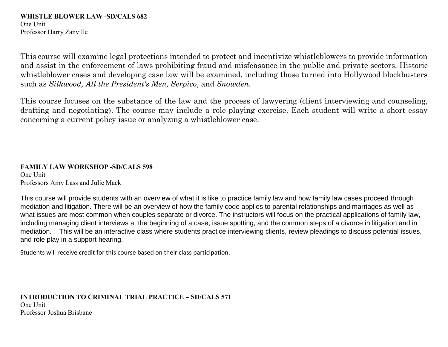#### **WHISTLE BLOWER LAW -SD/CALS 682** One Unit Professor Harry Zanville

This course will examine legal protections intended to protect and incentivize whistleblowers to provide information and assist in the enforcement of laws prohibiting fraud and misfeasance in the public and private sectors. Historic whistleblower cases and developing case law will be examined, including those turned into Hollywood blockbusters such as *Silkwood, All the President's Men, Serpico*, and *Snowden*.

This course focuses on the substance of the law and the process of lawyering (client interviewing and counseling, drafting and negotiating). The course may include a role-playing exercise. Each student will write a short essay concerning a current policy issue or analyzing a whistleblower case.

### **FAMILY LAW WORKSHOP -SD/CALS 598**

One Unit Professors Amy Lass and Julie Mack

This course will provide students with an overview of what it is like to practice family law and how family law cases proceed through mediation and litigation. There will be an overview of how the family code applies to parental relationships and marriages as well as what issues are most common when couples separate or divorce. The instructors will focus on the practical applications of family law, including managing client interviews at the beginning of a case, issue spotting, and the common steps of a divorce in litigation and in mediation. This will be an interactive class where students practice interviewing clients, review pleadings to discuss potential issues, and role play in a support hearing.

Students will receive credit for this course based on their class participation.

## **INTRODUCTION TO CRIMINAL TRIAL PRACTICE – SD/CALS 571** One Unit Professor Joshua Brisbane